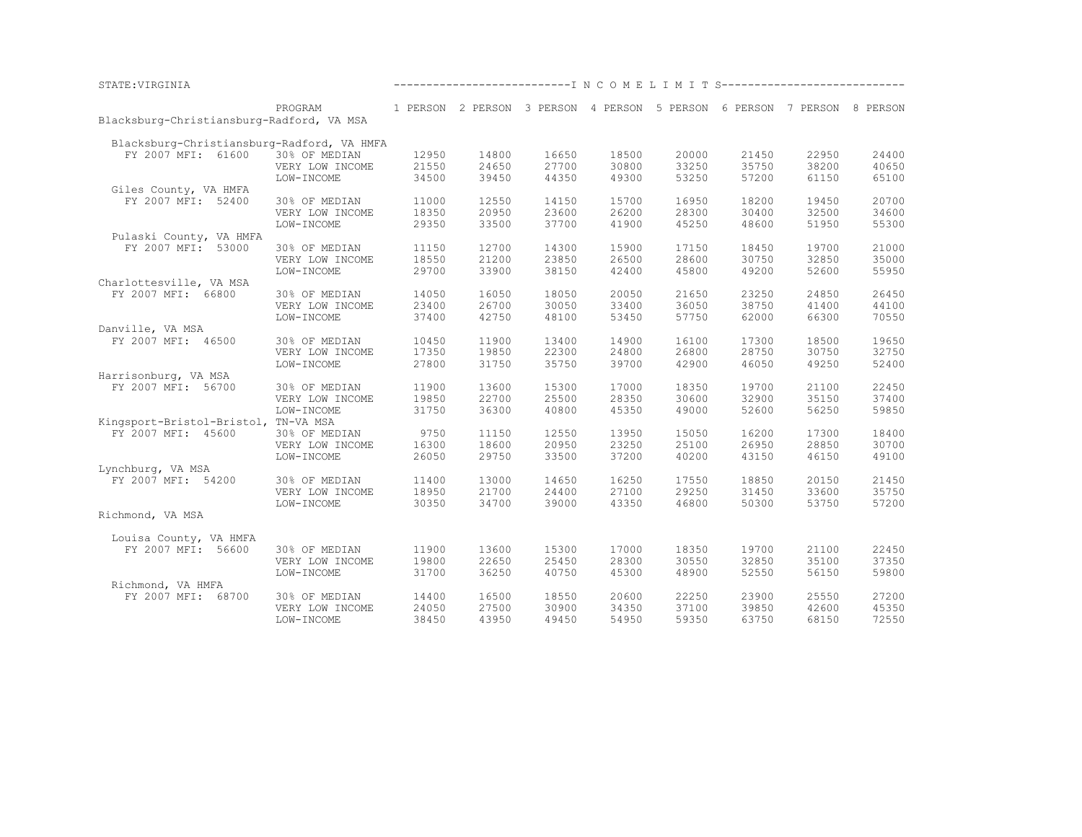| STATE: VIRGINIA                            |                 |       |       |       | ------------------------------- I N C O M E L I M I T S--------------------------- |       |       |       |       |
|--------------------------------------------|-----------------|-------|-------|-------|------------------------------------------------------------------------------------|-------|-------|-------|-------|
|                                            | PROGRAM         |       |       |       | 1 PERSON 2 PERSON 3 PERSON 4 PERSON 5 PERSON 6 PERSON 7 PERSON 8 PERSON            |       |       |       |       |
| Blacksburg-Christiansburg-Radford, VA MSA  |                 |       |       |       |                                                                                    |       |       |       |       |
| Blacksburg-Christiansburg-Radford, VA HMFA |                 |       |       |       |                                                                                    |       |       |       |       |
| FY 2007 MFI: 61600                         | 30% OF MEDIAN   | 12950 | 14800 | 16650 | 18500                                                                              | 20000 | 21450 | 22950 | 24400 |
|                                            | VERY LOW INCOME | 21550 | 24650 | 27700 | 30800                                                                              | 33250 | 35750 | 38200 | 40650 |
|                                            | LOW-INCOME      | 34500 | 39450 | 44350 | 49300                                                                              | 53250 | 57200 | 61150 | 65100 |
| Giles County, VA HMFA                      |                 |       |       |       |                                                                                    |       |       |       |       |
| FY 2007 MFI: 52400                         | 30% OF MEDIAN   | 11000 | 12550 | 14150 | 15700                                                                              | 16950 | 18200 | 19450 | 20700 |
|                                            | VERY LOW INCOME | 18350 | 20950 | 23600 | 26200                                                                              | 28300 | 30400 | 32500 | 34600 |
|                                            | LOW-INCOME      | 29350 | 33500 | 37700 | 41900                                                                              | 45250 | 48600 | 51950 | 55300 |
| Pulaski County, VA HMFA                    |                 |       |       |       |                                                                                    |       |       |       |       |
| FY 2007 MFI: 53000                         | 30% OF MEDIAN   | 11150 | 12700 | 14300 | 15900                                                                              | 17150 | 18450 | 19700 | 21000 |
|                                            | VERY LOW INCOME | 18550 | 21200 | 23850 | 26500                                                                              | 28600 | 30750 | 32850 | 35000 |
|                                            | LOW-INCOME      | 29700 | 33900 | 38150 | 42400                                                                              | 45800 | 49200 | 52600 | 55950 |
| Charlottesville, VA MSA                    |                 |       |       |       |                                                                                    |       |       |       |       |
| FY 2007 MFI: 66800                         | 30% OF MEDIAN   | 14050 | 16050 | 18050 | 20050                                                                              | 21650 | 23250 | 24850 | 26450 |
|                                            | VERY LOW INCOME | 23400 | 26700 | 30050 | 33400                                                                              | 36050 | 38750 | 41400 | 44100 |
|                                            | LOW-INCOME      | 37400 | 42750 | 48100 | 53450                                                                              | 57750 | 62000 | 66300 | 70550 |
| Danville, VA MSA                           |                 |       |       |       |                                                                                    |       |       |       |       |
| FY 2007 MFI: 46500                         | 30% OF MEDIAN   | 10450 | 11900 | 13400 | 14900                                                                              | 16100 | 17300 | 18500 | 19650 |
|                                            | VERY LOW INCOME | 17350 | 19850 | 22300 | 24800                                                                              | 26800 | 28750 | 30750 | 32750 |
|                                            | LOW-INCOME      | 27800 | 31750 | 35750 | 39700                                                                              | 42900 | 46050 | 49250 | 52400 |
| Harrisonburg, VA MSA                       |                 |       |       |       |                                                                                    |       |       |       |       |
| FY 2007 MFI: 56700                         | 30% OF MEDIAN   | 11900 | 13600 | 15300 | 17000                                                                              | 18350 | 19700 | 21100 | 22450 |
|                                            | VERY LOW INCOME | 19850 | 22700 | 25500 | 28350                                                                              | 30600 | 32900 | 35150 | 37400 |
|                                            | LOW-INCOME      | 31750 | 36300 | 40800 | 45350                                                                              | 49000 | 52600 | 56250 | 59850 |
| Kingsport-Bristol-Bristol, TN-VA MSA       |                 |       |       |       |                                                                                    |       |       |       |       |
| FY 2007 MFI: 45600                         |                 | 9750  | 11150 | 12550 | 13950                                                                              | 15050 | 16200 | 17300 | 18400 |
|                                            | 30% OF MEDIAN   |       |       |       |                                                                                    |       |       |       |       |
|                                            | VERY LOW INCOME | 16300 | 18600 | 20950 | 23250                                                                              | 25100 | 26950 | 28850 | 30700 |
|                                            | LOW-INCOME      | 26050 | 29750 | 33500 | 37200                                                                              | 40200 | 43150 | 46150 | 49100 |
| Lynchburg, VA MSA                          |                 |       |       |       |                                                                                    |       |       |       |       |
| FY 2007 MFI: 54200                         | 30% OF MEDIAN   | 11400 | 13000 | 14650 | 16250                                                                              | 17550 | 18850 | 20150 | 21450 |
|                                            | VERY LOW INCOME | 18950 | 21700 | 24400 | 27100                                                                              | 29250 | 31450 | 33600 | 35750 |
|                                            | LOW-INCOME      | 30350 | 34700 | 39000 | 43350                                                                              | 46800 | 50300 | 53750 | 57200 |
| Richmond, VA MSA                           |                 |       |       |       |                                                                                    |       |       |       |       |
|                                            |                 |       |       |       |                                                                                    |       |       |       |       |
| Louisa County, VA HMFA                     |                 |       |       |       |                                                                                    |       |       |       |       |
| FY 2007 MFI: 56600                         | 30% OF MEDIAN   | 11900 | 13600 | 15300 | 17000                                                                              | 18350 | 19700 | 21100 | 22450 |
|                                            | VERY LOW INCOME | 19800 | 22650 | 25450 | 28300                                                                              | 30550 | 32850 | 35100 | 37350 |
|                                            | LOW-INCOME      | 31700 | 36250 | 40750 | 45300                                                                              | 48900 | 52550 | 56150 | 59800 |
| Richmond, VA HMFA                          |                 |       |       |       |                                                                                    |       |       |       |       |
| FY 2007 MFI: 68700                         | 30% OF MEDIAN   | 14400 | 16500 | 18550 | 20600                                                                              | 22250 | 23900 | 25550 | 27200 |
|                                            | VERY LOW INCOME | 24050 | 27500 | 30900 | 34350                                                                              | 37100 | 39850 | 42600 | 45350 |
|                                            | LOW-INCOME      | 38450 | 43950 | 49450 | 54950                                                                              | 59350 | 63750 | 68150 | 72550 |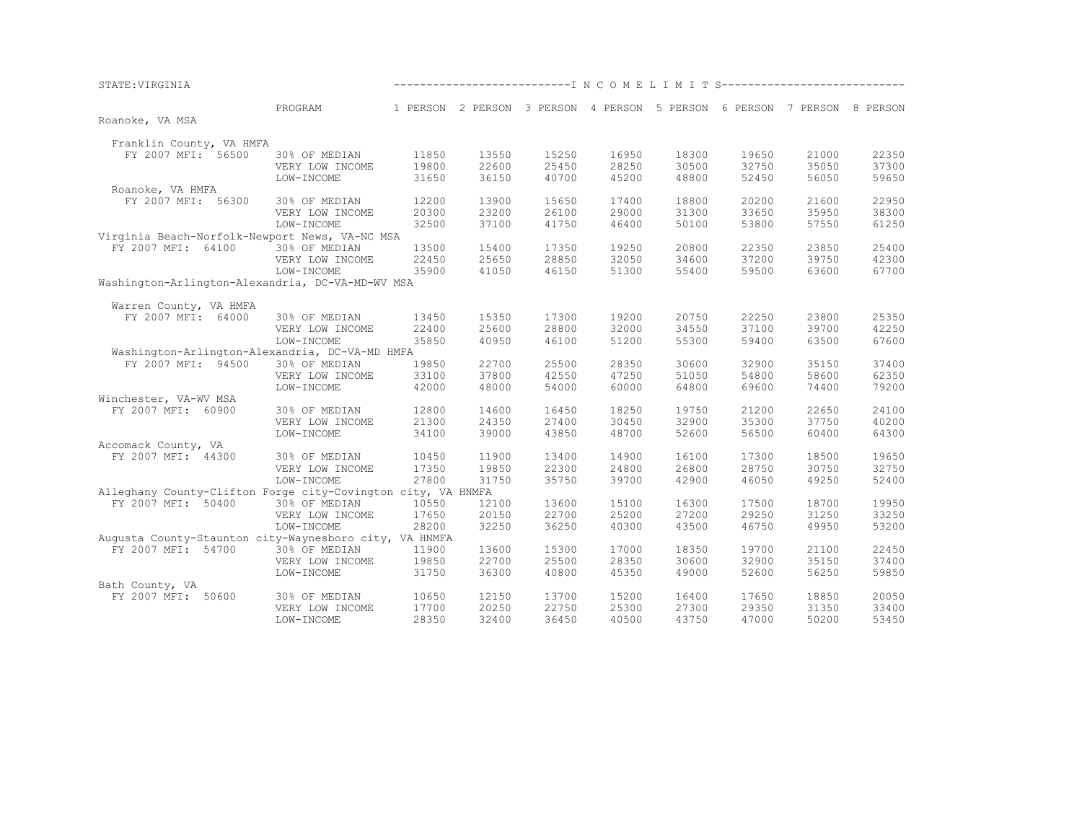| STATE: VIRGINIA                                              |                 |       |       |       | ------------------------------ I N C O M E L I M I T S--------------------------- |       |       |       |       |
|--------------------------------------------------------------|-----------------|-------|-------|-------|-----------------------------------------------------------------------------------|-------|-------|-------|-------|
|                                                              | PROGRAM         |       |       |       | 1 PERSON 2 PERSON 3 PERSON 4 PERSON 5 PERSON 6 PERSON 7 PERSON 8 PERSON           |       |       |       |       |
| Roanoke, VA MSA                                              |                 |       |       |       |                                                                                   |       |       |       |       |
| Franklin County, VA HMFA                                     |                 |       |       |       |                                                                                   |       |       |       |       |
| FY 2007 MFI: 56500                                           | 30% OF MEDIAN   | 11850 | 13550 | 15250 | 16950                                                                             | 18300 | 19650 | 21000 | 22350 |
|                                                              | VERY LOW INCOME | 19800 | 22600 | 25450 | 28250                                                                             | 30500 | 32750 | 35050 | 37300 |
|                                                              | LOW-INCOME      | 31650 | 36150 | 40700 | 45200                                                                             | 48800 | 52450 | 56050 | 59650 |
| Roanoke, VA HMFA                                             |                 |       |       |       |                                                                                   |       |       |       |       |
| FY 2007 MFI: 56300                                           | 30% OF MEDIAN   | 12200 | 13900 | 15650 | 17400                                                                             | 18800 | 20200 | 21600 | 22950 |
|                                                              | VERY LOW INCOME | 20300 | 23200 | 26100 | 29000                                                                             | 31300 | 33650 | 35950 | 38300 |
|                                                              | LOW-INCOME      | 32500 | 37100 | 41750 | 46400                                                                             | 50100 | 53800 | 57550 | 61250 |
| Virginia Beach-Norfolk-Newport News, VA-NC MSA               |                 |       |       |       |                                                                                   |       |       |       |       |
| FY 2007 MFI: 64100                                           | 30% OF MEDIAN   | 13500 | 15400 | 17350 | 19250                                                                             | 20800 | 22350 | 23850 | 25400 |
|                                                              | VERY LOW INCOME | 22450 | 25650 | 28850 | 32050                                                                             | 34600 | 37200 | 39750 | 42300 |
|                                                              | LOW-INCOME      | 35900 | 41050 | 46150 | 51300                                                                             | 55400 | 59500 | 63600 | 67700 |
| Washington-Arlington-Alexandria, DC-VA-MD-WV MSA             |                 |       |       |       |                                                                                   |       |       |       |       |
| Warren County, VA HMFA                                       |                 |       |       |       |                                                                                   |       |       |       |       |
| FY 2007 MFI: 64000                                           | 30% OF MEDIAN   | 13450 | 15350 | 17300 | 19200                                                                             | 20750 | 22250 | 23800 | 25350 |
|                                                              | VERY LOW INCOME | 22400 | 25600 | 28800 | 32000                                                                             | 34550 | 37100 | 39700 | 42250 |
|                                                              | LOW-INCOME      | 35850 | 40950 | 46100 | 51200                                                                             | 55300 | 59400 | 63500 | 67600 |
| Washington-Arlington-Alexandria, DC-VA-MD HMFA               |                 |       |       |       |                                                                                   |       |       |       |       |
| FY 2007 MFI: 94500                                           | 30% OF MEDIAN   | 19850 | 22700 | 25500 | 28350                                                                             | 30600 | 32900 | 35150 | 37400 |
|                                                              | VERY LOW INCOME | 33100 | 37800 | 42550 | 47250                                                                             | 51050 | 54800 | 58600 | 62350 |
|                                                              | LOW-INCOME      | 42000 | 48000 | 54000 | 60000                                                                             | 64800 | 69600 | 74400 | 79200 |
| Winchester, VA-WV MSA                                        |                 |       |       |       |                                                                                   |       |       |       |       |
| FY 2007 MFI: 60900                                           | 30% OF MEDIAN   | 12800 | 14600 | 16450 | 18250                                                                             | 19750 | 21200 | 22650 | 24100 |
|                                                              | VERY LOW INCOME | 21300 | 24350 | 27400 | 30450                                                                             | 32900 | 35300 | 37750 | 40200 |
|                                                              | LOW-INCOME      | 34100 | 39000 | 43850 | 48700                                                                             | 52600 | 56500 | 60400 | 64300 |
| Accomack County, VA                                          |                 |       |       |       |                                                                                   |       |       |       |       |
| FY 2007 MFI: 44300                                           | 30% OF MEDIAN   | 10450 | 11900 | 13400 | 14900                                                                             | 16100 | 17300 | 18500 | 19650 |
|                                                              | VERY LOW INCOME | 17350 | 19850 | 22300 | 24800                                                                             | 26800 | 28750 | 30750 | 32750 |
|                                                              | LOW-INCOME      | 27800 | 31750 | 35750 | 39700                                                                             | 42900 | 46050 | 49250 | 52400 |
| Alleghany County-Clifton Forge city-Covington city, VA HNMFA |                 |       |       |       |                                                                                   |       |       |       |       |
| FY 2007 MFI: 50400                                           | 30% OF MEDIAN   | 10550 | 12100 | 13600 | 15100                                                                             | 16300 | 17500 | 18700 | 19950 |
|                                                              | VERY LOW INCOME | 17650 | 20150 | 22700 | 25200                                                                             | 27200 | 29250 | 31250 | 33250 |
|                                                              | LOW-INCOME      | 28200 | 32250 | 36250 | 40300                                                                             | 43500 | 46750 | 49950 | 53200 |
| Augusta County-Staunton city-Waynesboro city, VA HNMFA       |                 |       |       |       |                                                                                   |       |       |       |       |
| FY 2007 MFI: 54700                                           | 30% OF MEDIAN   | 11900 | 13600 | 15300 | 17000                                                                             | 18350 | 19700 | 21100 | 22450 |
|                                                              | VERY LOW INCOME | 19850 | 22700 | 25500 | 28350                                                                             | 30600 | 32900 | 35150 | 37400 |
|                                                              | LOW-INCOME      | 31750 | 36300 | 40800 | 45350                                                                             | 49000 | 52600 | 56250 | 59850 |
| Bath County, VA                                              |                 |       |       |       |                                                                                   |       |       |       |       |
| FY 2007 MFI: 50600                                           | 30% OF MEDIAN   | 10650 | 12150 | 13700 | 15200                                                                             | 16400 | 17650 | 18850 | 20050 |
|                                                              | VERY LOW INCOME | 17700 | 20250 | 22750 | 25300                                                                             | 27300 | 29350 | 31350 | 33400 |
|                                                              | LOW-INCOME      | 28350 | 32400 | 36450 | 40500                                                                             | 43750 | 47000 | 50200 | 53450 |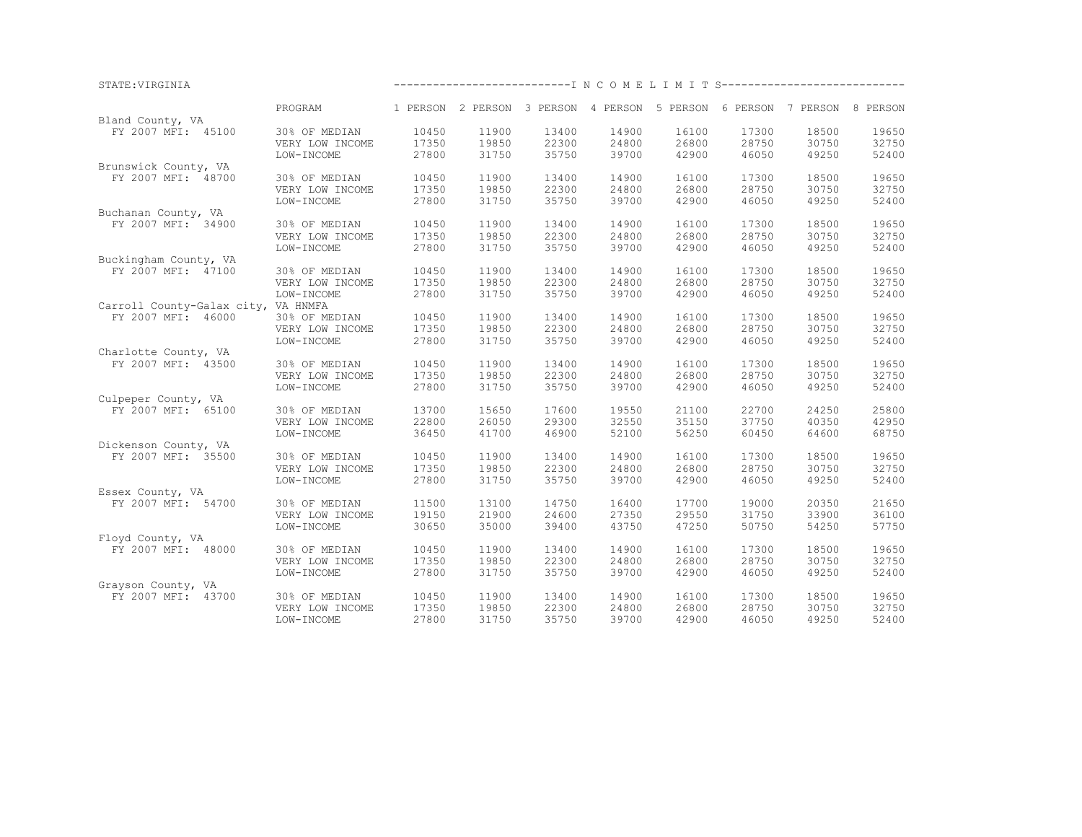|                                     | PROGRAM         |       |       | 1 PERSON 2 PERSON 3 PERSON 4 PERSON 5 PERSON 6 PERSON 7 PERSON 8 PERSON |       |       |       |       |       |
|-------------------------------------|-----------------|-------|-------|-------------------------------------------------------------------------|-------|-------|-------|-------|-------|
| Bland County, VA                    |                 |       |       |                                                                         |       |       |       |       |       |
| FY 2007 MFI: 45100                  | 30% OF MEDIAN   | 10450 | 11900 | 13400                                                                   | 14900 | 16100 | 17300 | 18500 | 19650 |
|                                     | VERY LOW INCOME | 17350 | 19850 | 22300                                                                   | 24800 | 26800 | 28750 | 30750 | 32750 |
|                                     | LOW-INCOME      | 27800 | 31750 | 35750                                                                   | 39700 | 42900 | 46050 | 49250 | 52400 |
| Brunswick County, VA                |                 |       |       |                                                                         |       |       |       |       |       |
| FY 2007 MFI: 48700                  | 30% OF MEDIAN   | 10450 | 11900 | 13400                                                                   | 14900 | 16100 | 17300 | 18500 | 19650 |
|                                     | VERY LOW INCOME | 17350 | 19850 | 22300                                                                   | 24800 | 26800 | 28750 | 30750 | 32750 |
|                                     | LOW-INCOME      | 27800 | 31750 | 35750                                                                   | 39700 | 42900 | 46050 | 49250 | 52400 |
| Buchanan County, VA                 |                 |       |       |                                                                         |       |       |       |       |       |
| FY 2007 MFI: 34900                  | 30% OF MEDIAN   | 10450 | 11900 | 13400                                                                   | 14900 | 16100 | 17300 | 18500 | 19650 |
|                                     | VERY LOW INCOME | 17350 | 19850 | 22300                                                                   | 24800 | 26800 | 28750 | 30750 | 32750 |
|                                     | LOW-INCOME      | 27800 | 31750 | 35750                                                                   | 39700 | 42900 | 46050 | 49250 | 52400 |
| Buckingham County, VA               |                 |       |       |                                                                         |       |       |       |       |       |
| FY 2007 MFI: 47100                  | 30% OF MEDIAN   | 10450 | 11900 | 13400                                                                   | 14900 | 16100 | 17300 | 18500 | 19650 |
|                                     | VERY LOW INCOME | 17350 | 19850 | 22300                                                                   | 24800 | 26800 | 28750 | 30750 | 32750 |
|                                     | LOW-INCOME      | 27800 | 31750 | 35750                                                                   | 39700 | 42900 | 46050 | 49250 | 52400 |
| Carroll County-Galax city, VA HNMFA |                 |       |       |                                                                         |       |       |       |       |       |
| FY 2007 MFI: 46000                  | 30% OF MEDIAN   | 10450 | 11900 | 13400                                                                   | 14900 | 16100 | 17300 | 18500 | 19650 |
|                                     | VERY LOW INCOME | 17350 | 19850 | 22300                                                                   | 24800 | 26800 | 28750 | 30750 | 32750 |
|                                     | LOW-INCOME      | 27800 | 31750 | 35750                                                                   | 39700 | 42900 | 46050 | 49250 | 52400 |
| Charlotte County, VA                |                 |       |       |                                                                         |       |       |       |       |       |
| FY 2007 MFI: 43500                  | 30% OF MEDIAN   | 10450 | 11900 | 13400                                                                   | 14900 | 16100 | 17300 | 18500 | 19650 |
|                                     | VERY LOW INCOME | 17350 | 19850 | 22300                                                                   | 24800 | 26800 | 28750 | 30750 | 32750 |
|                                     | LOW-INCOME      | 27800 | 31750 | 35750                                                                   | 39700 | 42900 | 46050 | 49250 | 52400 |
| Culpeper County, VA                 |                 |       |       |                                                                         |       |       |       |       |       |
| FY 2007 MFI: 65100                  | 30% OF MEDIAN   | 13700 | 15650 | 17600                                                                   | 19550 | 21100 | 22700 | 24250 | 25800 |
|                                     | VERY LOW INCOME | 22800 | 26050 | 29300                                                                   | 32550 | 35150 | 37750 | 40350 | 42950 |
|                                     | LOW-INCOME      | 36450 | 41700 | 46900                                                                   | 52100 | 56250 | 60450 | 64600 | 68750 |
| Dickenson County, VA                |                 |       |       |                                                                         |       |       |       |       |       |
| FY 2007 MFI: 35500                  | 30% OF MEDIAN   | 10450 | 11900 | 13400                                                                   | 14900 | 16100 | 17300 | 18500 | 19650 |
|                                     | VERY LOW INCOME | 17350 | 19850 | 22300                                                                   | 24800 | 26800 | 28750 | 30750 | 32750 |
|                                     | LOW-INCOME      | 27800 | 31750 | 35750                                                                   | 39700 | 42900 | 46050 | 49250 | 52400 |
| Essex County, VA                    |                 |       |       |                                                                         |       |       |       |       |       |
| FY 2007 MFI: 54700                  | 30% OF MEDIAN   | 11500 | 13100 | 14750                                                                   | 16400 | 17700 | 19000 | 20350 | 21650 |
|                                     | VERY LOW INCOME | 19150 | 21900 | 24600                                                                   | 27350 | 29550 | 31750 | 33900 | 36100 |
|                                     | LOW-INCOME      | 30650 | 35000 | 39400                                                                   | 43750 | 47250 | 50750 | 54250 | 57750 |
| Floyd County, VA                    |                 |       |       |                                                                         |       |       |       |       |       |
| FY 2007 MFI: 48000                  | 30% OF MEDIAN   | 10450 | 11900 | 13400                                                                   | 14900 | 16100 | 17300 | 18500 | 19650 |
|                                     | VERY LOW INCOME | 17350 | 19850 | 22300                                                                   | 24800 | 26800 | 28750 | 30750 | 32750 |
|                                     | LOW-INCOME      | 27800 | 31750 | 35750                                                                   | 39700 | 42900 | 46050 | 49250 | 52400 |
| Grayson County, VA                  |                 |       |       |                                                                         |       |       |       |       |       |
| FY 2007 MFI: 43700                  | 30% OF MEDIAN   | 10450 | 11900 | 13400                                                                   | 14900 | 16100 | 17300 | 18500 | 19650 |
|                                     | VERY LOW INCOME | 17350 | 19850 | 22300                                                                   | 24800 | 26800 | 28750 | 30750 | 32750 |
|                                     | LOW-INCOME      | 27800 | 31750 | 35750                                                                   | 39700 | 42900 | 46050 | 49250 | 52400 |

STATE:VIRGINIA ---------------------------I N C O M E L I M I T S----------------------------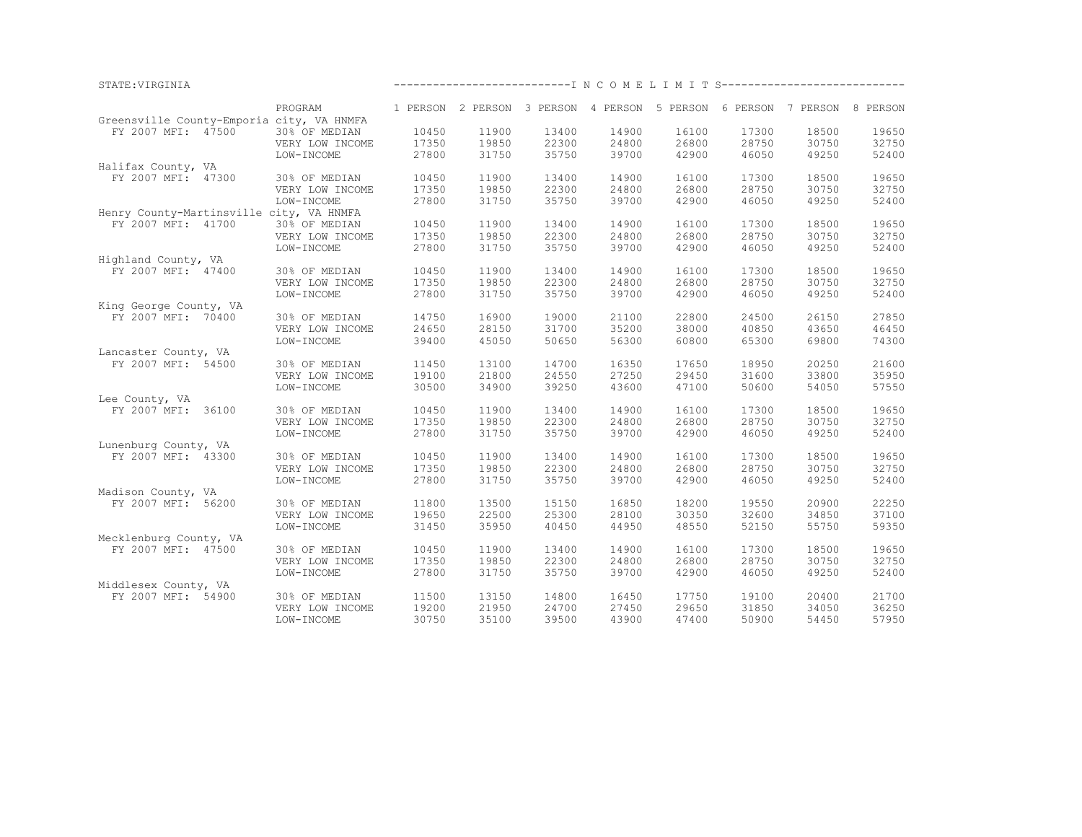| STATE: VIRGINIA                           |                 |       |       |       | ------------------------------- I N C O M E L I M I T S--------------------------- |                |                |       |       |
|-------------------------------------------|-----------------|-------|-------|-------|------------------------------------------------------------------------------------|----------------|----------------|-------|-------|
|                                           | PROGRAM         |       |       |       | 1 PERSON 2 PERSON 3 PERSON 4 PERSON 5 PERSON 6 PERSON 7 PERSON 8 PERSON            |                |                |       |       |
| Greensville County-Emporia city, VA HNMFA |                 |       |       |       |                                                                                    |                |                |       |       |
| FY 2007 MFI: 47500                        | 30% OF MEDIAN   | 10450 | 11900 | 13400 | 14900                                                                              | 16100          | 17300          | 18500 | 19650 |
|                                           | VERY LOW INCOME | 17350 | 19850 | 22300 | 24800                                                                              | 26800          | 28750          | 30750 | 32750 |
|                                           | LOW-INCOME      | 27800 | 31750 | 35750 | 39700                                                                              | 42900          | 46050          | 49250 | 52400 |
| Halifax County, VA                        |                 |       |       |       |                                                                                    |                |                |       |       |
| FY 2007 MFI: 47300                        | 30% OF MEDIAN   | 10450 | 11900 | 13400 | 14900                                                                              | 16100          | 17300          | 18500 | 19650 |
|                                           | VERY LOW INCOME | 17350 | 19850 | 22300 | 24800                                                                              | 26800          | 28750          | 30750 | 32750 |
|                                           | LOW-INCOME      | 27800 | 31750 | 35750 | 39700                                                                              | 42900          | 46050          | 49250 | 52400 |
| Henry County-Martinsville city, VA HNMFA  |                 |       |       |       |                                                                                    |                |                |       |       |
| FY 2007 MFI: 41700                        |                 | 10450 | 11900 | 13400 | 14900                                                                              | 16100          | 17300          | 18500 | 19650 |
|                                           | 30% OF MEDIAN   |       |       |       |                                                                                    |                |                |       |       |
|                                           | VERY LOW INCOME | 17350 | 19850 | 22300 | 24800                                                                              | 26800          | 28750          | 30750 | 32750 |
|                                           | LOW-INCOME      | 27800 | 31750 | 35750 | 39700                                                                              | 42900          | 46050          | 49250 | 52400 |
| Highland County, VA                       |                 |       |       |       |                                                                                    |                |                |       |       |
| FY 2007 MFI: 47400                        | 30% OF MEDIAN   | 10450 | 11900 | 13400 | 14900                                                                              | 16100          | 17300          | 18500 | 19650 |
|                                           | VERY LOW INCOME | 17350 | 19850 | 22300 | 24800                                                                              | 26800          | 28750          | 30750 | 32750 |
|                                           | LOW-INCOME      | 27800 | 31750 | 35750 | 39700                                                                              | 42900          | 46050          | 49250 | 52400 |
| King George County, VA                    |                 |       |       |       |                                                                                    |                |                |       |       |
| FY 2007 MFI: 70400                        | 30% OF MEDIAN   | 14750 | 16900 | 19000 | 21100                                                                              | 22800          | 24500          | 26150 | 27850 |
|                                           | VERY LOW INCOME | 24650 | 28150 | 31700 | 35200                                                                              | 38000          | 40850          | 43650 | 46450 |
|                                           | LOW-INCOME      | 39400 | 45050 | 50650 | 56300                                                                              | 60800          | 65300          | 69800 | 74300 |
| Lancaster County, VA                      |                 |       |       |       |                                                                                    |                |                |       |       |
| FY 2007 MFI: 54500                        | 30% OF MEDIAN   | 11450 | 13100 | 14700 | 16350                                                                              | 17650          | 18950          | 20250 | 21600 |
|                                           | VERY LOW INCOME | 19100 | 21800 | 24550 | 27250                                                                              | 29450          | 31600          | 33800 | 35950 |
|                                           | LOW-INCOME      | 30500 | 34900 | 39250 | 43600                                                                              | 47100          | 50600          | 54050 | 57550 |
| Lee County, VA                            |                 |       |       |       |                                                                                    |                |                |       |       |
|                                           |                 |       |       |       |                                                                                    |                |                |       |       |
| FY 2007 MFI: 36100                        | 30% OF MEDIAN   | 10450 | 11900 | 13400 | 14900                                                                              | 16100<br>26800 | 17300<br>28750 | 18500 | 19650 |
|                                           | VERY LOW INCOME | 17350 | 19850 | 22300 | 24800                                                                              |                |                | 30750 | 32750 |
|                                           | LOW-INCOME      | 27800 | 31750 | 35750 | 39700                                                                              | 42900          | 46050          | 49250 | 52400 |
| Lunenburg County, VA                      |                 |       |       |       |                                                                                    |                |                |       |       |
| FY 2007 MFI: 43300                        | 30% OF MEDIAN   | 10450 | 11900 | 13400 | 14900                                                                              | 16100          | 17300          | 18500 | 19650 |
|                                           | VERY LOW INCOME | 17350 | 19850 | 22300 | 24800                                                                              | 26800          | 28750          | 30750 | 32750 |
|                                           | LOW-INCOME      | 27800 | 31750 | 35750 | 39700                                                                              | 42900          | 46050          | 49250 | 52400 |
| Madison County, VA                        |                 |       |       |       |                                                                                    |                |                |       |       |
| FY 2007 MFI: 56200                        | 30% OF MEDIAN   | 11800 | 13500 | 15150 | 16850                                                                              | 18200          | 19550          | 20900 | 22250 |
|                                           | VERY LOW INCOME | 19650 | 22500 | 25300 | 28100                                                                              | 30350          | 32600          | 34850 | 37100 |
|                                           | LOW-INCOME      | 31450 | 35950 | 40450 | 44950                                                                              | 48550          | 52150          | 55750 | 59350 |
| Mecklenburg County, VA                    |                 |       |       |       |                                                                                    |                |                |       |       |
| FY 2007 MFI: 47500                        | 30% OF MEDIAN   | 10450 | 11900 | 13400 | 14900                                                                              | 16100          | 17300          | 18500 | 19650 |
|                                           | VERY LOW INCOME | 17350 | 19850 | 22300 | 24800                                                                              | 26800          | 28750          | 30750 | 32750 |
|                                           | LOW-INCOME      | 27800 | 31750 | 35750 | 39700                                                                              | 42900          | 46050          | 49250 | 52400 |
| Middlesex County, VA                      |                 |       |       |       |                                                                                    |                |                |       |       |
| FY 2007 MFI: 54900                        | 30% OF MEDIAN   | 11500 | 13150 | 14800 | 16450                                                                              | 17750          | 19100          | 20400 | 21700 |
|                                           | VERY LOW INCOME | 19200 | 21950 | 24700 | 27450                                                                              | 29650          | 31850          | 34050 | 36250 |
|                                           |                 | 30750 | 35100 | 39500 | 43900                                                                              | 47400          | 50900          |       | 57950 |
|                                           | LOW-INCOME      |       |       |       |                                                                                    |                |                | 54450 |       |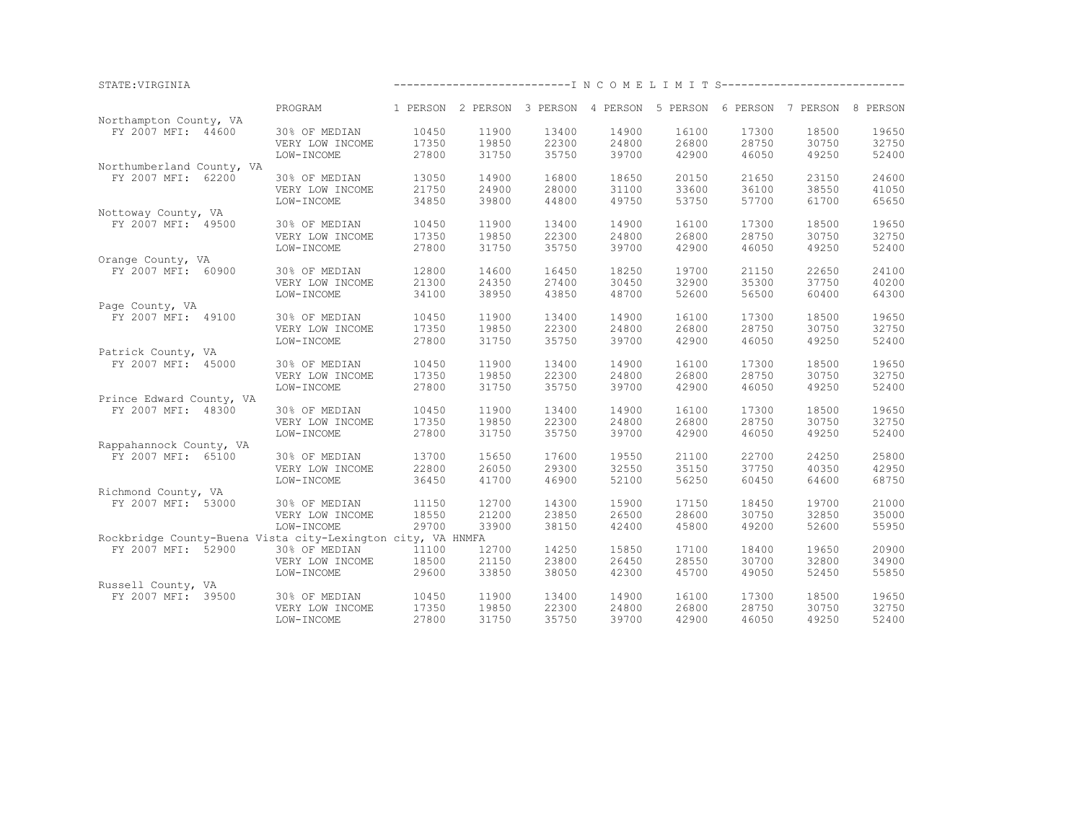| 1 PERSON 2 PERSON 3 PERSON 4 PERSON 5 PERSON 6 PERSON 7 PERSON 8 PERSON<br>PROGRAM<br>Northampton County, VA<br>FY 2007 MFI: 44600<br>10450<br>11900<br>17300<br>18500<br>19650<br>30% OF MEDIAN<br>13400<br>14900<br>16100<br>19850<br>22300<br>24800<br>26800<br>28750<br>30750<br>32750<br>17350<br>VERY LOW INCOME<br>35750<br>52400<br>27800<br>31750<br>39700<br>42900<br>46050<br>49250<br>LOW-INCOME<br>Northumberland County, VA<br>13050<br>14900<br>16800<br>18650<br>20150<br>21650<br>23150<br>24600<br>FY 2007 MFI: 62200<br>30% OF MEDIAN<br>28000<br>38550<br>VERY LOW INCOME<br>21750<br>24900<br>31100<br>33600<br>36100<br>41050<br>34850<br>39800<br>44800<br>49750<br>53750<br>57700<br>61700<br>65650<br>LOW-INCOME<br>Nottoway County, VA<br>19650<br>FY 2007 MFI: 49500<br>10450<br>11900<br>13400<br>14900<br>16100<br>17300<br>18500<br>30% OF MEDIAN<br>19850<br>22300<br>24800<br>26800<br>28750<br>30750<br>32750<br>17350<br>VERY LOW INCOME<br>35750<br>39700<br>27800<br>31750<br>42900<br>46050<br>49250<br>52400<br>LOW-INCOME<br>Orange County, VA<br>24100<br>12800<br>14600<br>16450<br>18250<br>19700<br>21150<br>22650<br>FY 2007 MFI: 60900<br>30% OF MEDIAN<br>27400<br>30450<br>32900<br>35300<br>37750<br>VERY LOW INCOME<br>21300<br>24350<br>40200<br>64300<br>LOW-INCOME<br>34100<br>38950<br>43850<br>48700<br>52600<br>56500<br>60400<br>Page County, VA<br>10450<br>11900<br>13400<br>14900<br>16100<br>17300<br>18500<br>19650<br>FY 2007 MFI: 49100<br>30% OF MEDIAN<br>17350<br>19850<br>22300<br>24800<br>26800<br>28750<br>30750<br>32750<br>VERY LOW INCOME<br>27800<br>31750<br>35750<br>39700<br>52400<br>LOW-INCOME<br>42900<br>46050<br>49250<br>Patrick County, VA<br>FY 2007 MFI: 45000<br>30% OF MEDIAN<br>10450<br>11900<br>13400<br>14900<br>16100<br>17300<br>18500<br>19650<br>19850<br>22300<br>24800<br>26800<br>28750<br>30750<br>32750<br>VERY LOW INCOME<br>17350<br>31750<br>35750<br>39700<br>52400<br>LOW-INCOME<br>27800<br>42900<br>46050<br>49250<br>Prince Edward County, VA<br>FY 2007 MFI: 48300<br>10450<br>11900<br>13400<br>14900<br>16100<br>17300<br>18500<br>19650<br>30% OF MEDIAN<br>19850<br>22300<br>24800<br>26800<br>28750<br>30750<br>32750<br>VERY LOW INCOME<br>17350<br>27800<br>31750<br>35750<br>39700<br>42900<br>46050<br>49250<br>52400<br>LOW-INCOME<br>Rappahannock County, VA<br>25800<br>FY 2007 MFI: 65100<br>30% OF MEDIAN<br>13700<br>15650<br>17600<br>19550<br>21100<br>22700<br>24250<br>22800<br>26050<br>29300<br>32550<br>35150<br>37750<br>40350<br>42950<br>VERY LOW INCOME<br>36450<br>41700<br>46900<br>52100<br>56250<br>60450<br>64600<br>68750<br>LOW-INCOME<br>Richmond County, VA<br>12700<br>14300<br>15900<br>18450<br>19700<br>21000<br>FY 2007 MFI: 53000<br>30% OF MEDIAN<br>11150<br>17150<br>18550<br>21200<br>23850<br>26500<br>28600<br>30750<br>32850<br>35000<br>VERY LOW INCOME<br>29700<br>LOW-INCOME<br>33900<br>38150<br>42400<br>45800<br>49200<br>52600<br>55950<br>Rockbridge County-Buena Vista city-Lexington city, VA HNMFA<br>20900<br>FY 2007 MFI: 52900<br>30% OF MEDIAN<br>11100<br>12700<br>14250<br>15850<br>17100<br>18400<br>19650<br>18500<br>21150<br>23800<br>26450<br>28550<br>30700<br>32800<br>34900<br>VERY LOW INCOME<br>33850<br>38050<br>49050<br>52450<br>55850<br>LOW-INCOME<br>29600<br>42300<br>45700 | STATE: VIRGINIA    |  | ------------------------------ I N C O M E L I M I T S--------------------------- |  |  |  |
|-----------------------------------------------------------------------------------------------------------------------------------------------------------------------------------------------------------------------------------------------------------------------------------------------------------------------------------------------------------------------------------------------------------------------------------------------------------------------------------------------------------------------------------------------------------------------------------------------------------------------------------------------------------------------------------------------------------------------------------------------------------------------------------------------------------------------------------------------------------------------------------------------------------------------------------------------------------------------------------------------------------------------------------------------------------------------------------------------------------------------------------------------------------------------------------------------------------------------------------------------------------------------------------------------------------------------------------------------------------------------------------------------------------------------------------------------------------------------------------------------------------------------------------------------------------------------------------------------------------------------------------------------------------------------------------------------------------------------------------------------------------------------------------------------------------------------------------------------------------------------------------------------------------------------------------------------------------------------------------------------------------------------------------------------------------------------------------------------------------------------------------------------------------------------------------------------------------------------------------------------------------------------------------------------------------------------------------------------------------------------------------------------------------------------------------------------------------------------------------------------------------------------------------------------------------------------------------------------------------------------------------------------------------------------------------------------------------------------------------------------------------------------------------------------------------------------------------------------------------------------------------------------------------------------------------------------------------------------------------------------------------------------------------------------------------------------------------------------------------------------------------------------------------------------------------------------------------------------------------------------------------------------------------------------------------------------------------------------------------------------------|--------------------|--|-----------------------------------------------------------------------------------|--|--|--|
|                                                                                                                                                                                                                                                                                                                                                                                                                                                                                                                                                                                                                                                                                                                                                                                                                                                                                                                                                                                                                                                                                                                                                                                                                                                                                                                                                                                                                                                                                                                                                                                                                                                                                                                                                                                                                                                                                                                                                                                                                                                                                                                                                                                                                                                                                                                                                                                                                                                                                                                                                                                                                                                                                                                                                                                                                                                                                                                                                                                                                                                                                                                                                                                                                                                                                                                                                                             |                    |  |                                                                                   |  |  |  |
|                                                                                                                                                                                                                                                                                                                                                                                                                                                                                                                                                                                                                                                                                                                                                                                                                                                                                                                                                                                                                                                                                                                                                                                                                                                                                                                                                                                                                                                                                                                                                                                                                                                                                                                                                                                                                                                                                                                                                                                                                                                                                                                                                                                                                                                                                                                                                                                                                                                                                                                                                                                                                                                                                                                                                                                                                                                                                                                                                                                                                                                                                                                                                                                                                                                                                                                                                                             |                    |  |                                                                                   |  |  |  |
|                                                                                                                                                                                                                                                                                                                                                                                                                                                                                                                                                                                                                                                                                                                                                                                                                                                                                                                                                                                                                                                                                                                                                                                                                                                                                                                                                                                                                                                                                                                                                                                                                                                                                                                                                                                                                                                                                                                                                                                                                                                                                                                                                                                                                                                                                                                                                                                                                                                                                                                                                                                                                                                                                                                                                                                                                                                                                                                                                                                                                                                                                                                                                                                                                                                                                                                                                                             |                    |  |                                                                                   |  |  |  |
|                                                                                                                                                                                                                                                                                                                                                                                                                                                                                                                                                                                                                                                                                                                                                                                                                                                                                                                                                                                                                                                                                                                                                                                                                                                                                                                                                                                                                                                                                                                                                                                                                                                                                                                                                                                                                                                                                                                                                                                                                                                                                                                                                                                                                                                                                                                                                                                                                                                                                                                                                                                                                                                                                                                                                                                                                                                                                                                                                                                                                                                                                                                                                                                                                                                                                                                                                                             |                    |  |                                                                                   |  |  |  |
|                                                                                                                                                                                                                                                                                                                                                                                                                                                                                                                                                                                                                                                                                                                                                                                                                                                                                                                                                                                                                                                                                                                                                                                                                                                                                                                                                                                                                                                                                                                                                                                                                                                                                                                                                                                                                                                                                                                                                                                                                                                                                                                                                                                                                                                                                                                                                                                                                                                                                                                                                                                                                                                                                                                                                                                                                                                                                                                                                                                                                                                                                                                                                                                                                                                                                                                                                                             |                    |  |                                                                                   |  |  |  |
|                                                                                                                                                                                                                                                                                                                                                                                                                                                                                                                                                                                                                                                                                                                                                                                                                                                                                                                                                                                                                                                                                                                                                                                                                                                                                                                                                                                                                                                                                                                                                                                                                                                                                                                                                                                                                                                                                                                                                                                                                                                                                                                                                                                                                                                                                                                                                                                                                                                                                                                                                                                                                                                                                                                                                                                                                                                                                                                                                                                                                                                                                                                                                                                                                                                                                                                                                                             |                    |  |                                                                                   |  |  |  |
|                                                                                                                                                                                                                                                                                                                                                                                                                                                                                                                                                                                                                                                                                                                                                                                                                                                                                                                                                                                                                                                                                                                                                                                                                                                                                                                                                                                                                                                                                                                                                                                                                                                                                                                                                                                                                                                                                                                                                                                                                                                                                                                                                                                                                                                                                                                                                                                                                                                                                                                                                                                                                                                                                                                                                                                                                                                                                                                                                                                                                                                                                                                                                                                                                                                                                                                                                                             |                    |  |                                                                                   |  |  |  |
|                                                                                                                                                                                                                                                                                                                                                                                                                                                                                                                                                                                                                                                                                                                                                                                                                                                                                                                                                                                                                                                                                                                                                                                                                                                                                                                                                                                                                                                                                                                                                                                                                                                                                                                                                                                                                                                                                                                                                                                                                                                                                                                                                                                                                                                                                                                                                                                                                                                                                                                                                                                                                                                                                                                                                                                                                                                                                                                                                                                                                                                                                                                                                                                                                                                                                                                                                                             |                    |  |                                                                                   |  |  |  |
|                                                                                                                                                                                                                                                                                                                                                                                                                                                                                                                                                                                                                                                                                                                                                                                                                                                                                                                                                                                                                                                                                                                                                                                                                                                                                                                                                                                                                                                                                                                                                                                                                                                                                                                                                                                                                                                                                                                                                                                                                                                                                                                                                                                                                                                                                                                                                                                                                                                                                                                                                                                                                                                                                                                                                                                                                                                                                                                                                                                                                                                                                                                                                                                                                                                                                                                                                                             |                    |  |                                                                                   |  |  |  |
|                                                                                                                                                                                                                                                                                                                                                                                                                                                                                                                                                                                                                                                                                                                                                                                                                                                                                                                                                                                                                                                                                                                                                                                                                                                                                                                                                                                                                                                                                                                                                                                                                                                                                                                                                                                                                                                                                                                                                                                                                                                                                                                                                                                                                                                                                                                                                                                                                                                                                                                                                                                                                                                                                                                                                                                                                                                                                                                                                                                                                                                                                                                                                                                                                                                                                                                                                                             |                    |  |                                                                                   |  |  |  |
|                                                                                                                                                                                                                                                                                                                                                                                                                                                                                                                                                                                                                                                                                                                                                                                                                                                                                                                                                                                                                                                                                                                                                                                                                                                                                                                                                                                                                                                                                                                                                                                                                                                                                                                                                                                                                                                                                                                                                                                                                                                                                                                                                                                                                                                                                                                                                                                                                                                                                                                                                                                                                                                                                                                                                                                                                                                                                                                                                                                                                                                                                                                                                                                                                                                                                                                                                                             |                    |  |                                                                                   |  |  |  |
|                                                                                                                                                                                                                                                                                                                                                                                                                                                                                                                                                                                                                                                                                                                                                                                                                                                                                                                                                                                                                                                                                                                                                                                                                                                                                                                                                                                                                                                                                                                                                                                                                                                                                                                                                                                                                                                                                                                                                                                                                                                                                                                                                                                                                                                                                                                                                                                                                                                                                                                                                                                                                                                                                                                                                                                                                                                                                                                                                                                                                                                                                                                                                                                                                                                                                                                                                                             |                    |  |                                                                                   |  |  |  |
|                                                                                                                                                                                                                                                                                                                                                                                                                                                                                                                                                                                                                                                                                                                                                                                                                                                                                                                                                                                                                                                                                                                                                                                                                                                                                                                                                                                                                                                                                                                                                                                                                                                                                                                                                                                                                                                                                                                                                                                                                                                                                                                                                                                                                                                                                                                                                                                                                                                                                                                                                                                                                                                                                                                                                                                                                                                                                                                                                                                                                                                                                                                                                                                                                                                                                                                                                                             |                    |  |                                                                                   |  |  |  |
|                                                                                                                                                                                                                                                                                                                                                                                                                                                                                                                                                                                                                                                                                                                                                                                                                                                                                                                                                                                                                                                                                                                                                                                                                                                                                                                                                                                                                                                                                                                                                                                                                                                                                                                                                                                                                                                                                                                                                                                                                                                                                                                                                                                                                                                                                                                                                                                                                                                                                                                                                                                                                                                                                                                                                                                                                                                                                                                                                                                                                                                                                                                                                                                                                                                                                                                                                                             |                    |  |                                                                                   |  |  |  |
|                                                                                                                                                                                                                                                                                                                                                                                                                                                                                                                                                                                                                                                                                                                                                                                                                                                                                                                                                                                                                                                                                                                                                                                                                                                                                                                                                                                                                                                                                                                                                                                                                                                                                                                                                                                                                                                                                                                                                                                                                                                                                                                                                                                                                                                                                                                                                                                                                                                                                                                                                                                                                                                                                                                                                                                                                                                                                                                                                                                                                                                                                                                                                                                                                                                                                                                                                                             |                    |  |                                                                                   |  |  |  |
|                                                                                                                                                                                                                                                                                                                                                                                                                                                                                                                                                                                                                                                                                                                                                                                                                                                                                                                                                                                                                                                                                                                                                                                                                                                                                                                                                                                                                                                                                                                                                                                                                                                                                                                                                                                                                                                                                                                                                                                                                                                                                                                                                                                                                                                                                                                                                                                                                                                                                                                                                                                                                                                                                                                                                                                                                                                                                                                                                                                                                                                                                                                                                                                                                                                                                                                                                                             |                    |  |                                                                                   |  |  |  |
|                                                                                                                                                                                                                                                                                                                                                                                                                                                                                                                                                                                                                                                                                                                                                                                                                                                                                                                                                                                                                                                                                                                                                                                                                                                                                                                                                                                                                                                                                                                                                                                                                                                                                                                                                                                                                                                                                                                                                                                                                                                                                                                                                                                                                                                                                                                                                                                                                                                                                                                                                                                                                                                                                                                                                                                                                                                                                                                                                                                                                                                                                                                                                                                                                                                                                                                                                                             |                    |  |                                                                                   |  |  |  |
|                                                                                                                                                                                                                                                                                                                                                                                                                                                                                                                                                                                                                                                                                                                                                                                                                                                                                                                                                                                                                                                                                                                                                                                                                                                                                                                                                                                                                                                                                                                                                                                                                                                                                                                                                                                                                                                                                                                                                                                                                                                                                                                                                                                                                                                                                                                                                                                                                                                                                                                                                                                                                                                                                                                                                                                                                                                                                                                                                                                                                                                                                                                                                                                                                                                                                                                                                                             |                    |  |                                                                                   |  |  |  |
|                                                                                                                                                                                                                                                                                                                                                                                                                                                                                                                                                                                                                                                                                                                                                                                                                                                                                                                                                                                                                                                                                                                                                                                                                                                                                                                                                                                                                                                                                                                                                                                                                                                                                                                                                                                                                                                                                                                                                                                                                                                                                                                                                                                                                                                                                                                                                                                                                                                                                                                                                                                                                                                                                                                                                                                                                                                                                                                                                                                                                                                                                                                                                                                                                                                                                                                                                                             |                    |  |                                                                                   |  |  |  |
|                                                                                                                                                                                                                                                                                                                                                                                                                                                                                                                                                                                                                                                                                                                                                                                                                                                                                                                                                                                                                                                                                                                                                                                                                                                                                                                                                                                                                                                                                                                                                                                                                                                                                                                                                                                                                                                                                                                                                                                                                                                                                                                                                                                                                                                                                                                                                                                                                                                                                                                                                                                                                                                                                                                                                                                                                                                                                                                                                                                                                                                                                                                                                                                                                                                                                                                                                                             |                    |  |                                                                                   |  |  |  |
|                                                                                                                                                                                                                                                                                                                                                                                                                                                                                                                                                                                                                                                                                                                                                                                                                                                                                                                                                                                                                                                                                                                                                                                                                                                                                                                                                                                                                                                                                                                                                                                                                                                                                                                                                                                                                                                                                                                                                                                                                                                                                                                                                                                                                                                                                                                                                                                                                                                                                                                                                                                                                                                                                                                                                                                                                                                                                                                                                                                                                                                                                                                                                                                                                                                                                                                                                                             |                    |  |                                                                                   |  |  |  |
|                                                                                                                                                                                                                                                                                                                                                                                                                                                                                                                                                                                                                                                                                                                                                                                                                                                                                                                                                                                                                                                                                                                                                                                                                                                                                                                                                                                                                                                                                                                                                                                                                                                                                                                                                                                                                                                                                                                                                                                                                                                                                                                                                                                                                                                                                                                                                                                                                                                                                                                                                                                                                                                                                                                                                                                                                                                                                                                                                                                                                                                                                                                                                                                                                                                                                                                                                                             |                    |  |                                                                                   |  |  |  |
|                                                                                                                                                                                                                                                                                                                                                                                                                                                                                                                                                                                                                                                                                                                                                                                                                                                                                                                                                                                                                                                                                                                                                                                                                                                                                                                                                                                                                                                                                                                                                                                                                                                                                                                                                                                                                                                                                                                                                                                                                                                                                                                                                                                                                                                                                                                                                                                                                                                                                                                                                                                                                                                                                                                                                                                                                                                                                                                                                                                                                                                                                                                                                                                                                                                                                                                                                                             |                    |  |                                                                                   |  |  |  |
|                                                                                                                                                                                                                                                                                                                                                                                                                                                                                                                                                                                                                                                                                                                                                                                                                                                                                                                                                                                                                                                                                                                                                                                                                                                                                                                                                                                                                                                                                                                                                                                                                                                                                                                                                                                                                                                                                                                                                                                                                                                                                                                                                                                                                                                                                                                                                                                                                                                                                                                                                                                                                                                                                                                                                                                                                                                                                                                                                                                                                                                                                                                                                                                                                                                                                                                                                                             |                    |  |                                                                                   |  |  |  |
|                                                                                                                                                                                                                                                                                                                                                                                                                                                                                                                                                                                                                                                                                                                                                                                                                                                                                                                                                                                                                                                                                                                                                                                                                                                                                                                                                                                                                                                                                                                                                                                                                                                                                                                                                                                                                                                                                                                                                                                                                                                                                                                                                                                                                                                                                                                                                                                                                                                                                                                                                                                                                                                                                                                                                                                                                                                                                                                                                                                                                                                                                                                                                                                                                                                                                                                                                                             |                    |  |                                                                                   |  |  |  |
|                                                                                                                                                                                                                                                                                                                                                                                                                                                                                                                                                                                                                                                                                                                                                                                                                                                                                                                                                                                                                                                                                                                                                                                                                                                                                                                                                                                                                                                                                                                                                                                                                                                                                                                                                                                                                                                                                                                                                                                                                                                                                                                                                                                                                                                                                                                                                                                                                                                                                                                                                                                                                                                                                                                                                                                                                                                                                                                                                                                                                                                                                                                                                                                                                                                                                                                                                                             |                    |  |                                                                                   |  |  |  |
|                                                                                                                                                                                                                                                                                                                                                                                                                                                                                                                                                                                                                                                                                                                                                                                                                                                                                                                                                                                                                                                                                                                                                                                                                                                                                                                                                                                                                                                                                                                                                                                                                                                                                                                                                                                                                                                                                                                                                                                                                                                                                                                                                                                                                                                                                                                                                                                                                                                                                                                                                                                                                                                                                                                                                                                                                                                                                                                                                                                                                                                                                                                                                                                                                                                                                                                                                                             |                    |  |                                                                                   |  |  |  |
|                                                                                                                                                                                                                                                                                                                                                                                                                                                                                                                                                                                                                                                                                                                                                                                                                                                                                                                                                                                                                                                                                                                                                                                                                                                                                                                                                                                                                                                                                                                                                                                                                                                                                                                                                                                                                                                                                                                                                                                                                                                                                                                                                                                                                                                                                                                                                                                                                                                                                                                                                                                                                                                                                                                                                                                                                                                                                                                                                                                                                                                                                                                                                                                                                                                                                                                                                                             |                    |  |                                                                                   |  |  |  |
|                                                                                                                                                                                                                                                                                                                                                                                                                                                                                                                                                                                                                                                                                                                                                                                                                                                                                                                                                                                                                                                                                                                                                                                                                                                                                                                                                                                                                                                                                                                                                                                                                                                                                                                                                                                                                                                                                                                                                                                                                                                                                                                                                                                                                                                                                                                                                                                                                                                                                                                                                                                                                                                                                                                                                                                                                                                                                                                                                                                                                                                                                                                                                                                                                                                                                                                                                                             |                    |  |                                                                                   |  |  |  |
|                                                                                                                                                                                                                                                                                                                                                                                                                                                                                                                                                                                                                                                                                                                                                                                                                                                                                                                                                                                                                                                                                                                                                                                                                                                                                                                                                                                                                                                                                                                                                                                                                                                                                                                                                                                                                                                                                                                                                                                                                                                                                                                                                                                                                                                                                                                                                                                                                                                                                                                                                                                                                                                                                                                                                                                                                                                                                                                                                                                                                                                                                                                                                                                                                                                                                                                                                                             |                    |  |                                                                                   |  |  |  |
|                                                                                                                                                                                                                                                                                                                                                                                                                                                                                                                                                                                                                                                                                                                                                                                                                                                                                                                                                                                                                                                                                                                                                                                                                                                                                                                                                                                                                                                                                                                                                                                                                                                                                                                                                                                                                                                                                                                                                                                                                                                                                                                                                                                                                                                                                                                                                                                                                                                                                                                                                                                                                                                                                                                                                                                                                                                                                                                                                                                                                                                                                                                                                                                                                                                                                                                                                                             |                    |  |                                                                                   |  |  |  |
|                                                                                                                                                                                                                                                                                                                                                                                                                                                                                                                                                                                                                                                                                                                                                                                                                                                                                                                                                                                                                                                                                                                                                                                                                                                                                                                                                                                                                                                                                                                                                                                                                                                                                                                                                                                                                                                                                                                                                                                                                                                                                                                                                                                                                                                                                                                                                                                                                                                                                                                                                                                                                                                                                                                                                                                                                                                                                                                                                                                                                                                                                                                                                                                                                                                                                                                                                                             |                    |  |                                                                                   |  |  |  |
|                                                                                                                                                                                                                                                                                                                                                                                                                                                                                                                                                                                                                                                                                                                                                                                                                                                                                                                                                                                                                                                                                                                                                                                                                                                                                                                                                                                                                                                                                                                                                                                                                                                                                                                                                                                                                                                                                                                                                                                                                                                                                                                                                                                                                                                                                                                                                                                                                                                                                                                                                                                                                                                                                                                                                                                                                                                                                                                                                                                                                                                                                                                                                                                                                                                                                                                                                                             |                    |  |                                                                                   |  |  |  |
|                                                                                                                                                                                                                                                                                                                                                                                                                                                                                                                                                                                                                                                                                                                                                                                                                                                                                                                                                                                                                                                                                                                                                                                                                                                                                                                                                                                                                                                                                                                                                                                                                                                                                                                                                                                                                                                                                                                                                                                                                                                                                                                                                                                                                                                                                                                                                                                                                                                                                                                                                                                                                                                                                                                                                                                                                                                                                                                                                                                                                                                                                                                                                                                                                                                                                                                                                                             |                    |  |                                                                                   |  |  |  |
|                                                                                                                                                                                                                                                                                                                                                                                                                                                                                                                                                                                                                                                                                                                                                                                                                                                                                                                                                                                                                                                                                                                                                                                                                                                                                                                                                                                                                                                                                                                                                                                                                                                                                                                                                                                                                                                                                                                                                                                                                                                                                                                                                                                                                                                                                                                                                                                                                                                                                                                                                                                                                                                                                                                                                                                                                                                                                                                                                                                                                                                                                                                                                                                                                                                                                                                                                                             |                    |  |                                                                                   |  |  |  |
|                                                                                                                                                                                                                                                                                                                                                                                                                                                                                                                                                                                                                                                                                                                                                                                                                                                                                                                                                                                                                                                                                                                                                                                                                                                                                                                                                                                                                                                                                                                                                                                                                                                                                                                                                                                                                                                                                                                                                                                                                                                                                                                                                                                                                                                                                                                                                                                                                                                                                                                                                                                                                                                                                                                                                                                                                                                                                                                                                                                                                                                                                                                                                                                                                                                                                                                                                                             |                    |  |                                                                                   |  |  |  |
|                                                                                                                                                                                                                                                                                                                                                                                                                                                                                                                                                                                                                                                                                                                                                                                                                                                                                                                                                                                                                                                                                                                                                                                                                                                                                                                                                                                                                                                                                                                                                                                                                                                                                                                                                                                                                                                                                                                                                                                                                                                                                                                                                                                                                                                                                                                                                                                                                                                                                                                                                                                                                                                                                                                                                                                                                                                                                                                                                                                                                                                                                                                                                                                                                                                                                                                                                                             |                    |  |                                                                                   |  |  |  |
|                                                                                                                                                                                                                                                                                                                                                                                                                                                                                                                                                                                                                                                                                                                                                                                                                                                                                                                                                                                                                                                                                                                                                                                                                                                                                                                                                                                                                                                                                                                                                                                                                                                                                                                                                                                                                                                                                                                                                                                                                                                                                                                                                                                                                                                                                                                                                                                                                                                                                                                                                                                                                                                                                                                                                                                                                                                                                                                                                                                                                                                                                                                                                                                                                                                                                                                                                                             |                    |  |                                                                                   |  |  |  |
|                                                                                                                                                                                                                                                                                                                                                                                                                                                                                                                                                                                                                                                                                                                                                                                                                                                                                                                                                                                                                                                                                                                                                                                                                                                                                                                                                                                                                                                                                                                                                                                                                                                                                                                                                                                                                                                                                                                                                                                                                                                                                                                                                                                                                                                                                                                                                                                                                                                                                                                                                                                                                                                                                                                                                                                                                                                                                                                                                                                                                                                                                                                                                                                                                                                                                                                                                                             |                    |  |                                                                                   |  |  |  |
|                                                                                                                                                                                                                                                                                                                                                                                                                                                                                                                                                                                                                                                                                                                                                                                                                                                                                                                                                                                                                                                                                                                                                                                                                                                                                                                                                                                                                                                                                                                                                                                                                                                                                                                                                                                                                                                                                                                                                                                                                                                                                                                                                                                                                                                                                                                                                                                                                                                                                                                                                                                                                                                                                                                                                                                                                                                                                                                                                                                                                                                                                                                                                                                                                                                                                                                                                                             |                    |  |                                                                                   |  |  |  |
|                                                                                                                                                                                                                                                                                                                                                                                                                                                                                                                                                                                                                                                                                                                                                                                                                                                                                                                                                                                                                                                                                                                                                                                                                                                                                                                                                                                                                                                                                                                                                                                                                                                                                                                                                                                                                                                                                                                                                                                                                                                                                                                                                                                                                                                                                                                                                                                                                                                                                                                                                                                                                                                                                                                                                                                                                                                                                                                                                                                                                                                                                                                                                                                                                                                                                                                                                                             |                    |  |                                                                                   |  |  |  |
|                                                                                                                                                                                                                                                                                                                                                                                                                                                                                                                                                                                                                                                                                                                                                                                                                                                                                                                                                                                                                                                                                                                                                                                                                                                                                                                                                                                                                                                                                                                                                                                                                                                                                                                                                                                                                                                                                                                                                                                                                                                                                                                                                                                                                                                                                                                                                                                                                                                                                                                                                                                                                                                                                                                                                                                                                                                                                                                                                                                                                                                                                                                                                                                                                                                                                                                                                                             |                    |  |                                                                                   |  |  |  |
|                                                                                                                                                                                                                                                                                                                                                                                                                                                                                                                                                                                                                                                                                                                                                                                                                                                                                                                                                                                                                                                                                                                                                                                                                                                                                                                                                                                                                                                                                                                                                                                                                                                                                                                                                                                                                                                                                                                                                                                                                                                                                                                                                                                                                                                                                                                                                                                                                                                                                                                                                                                                                                                                                                                                                                                                                                                                                                                                                                                                                                                                                                                                                                                                                                                                                                                                                                             |                    |  |                                                                                   |  |  |  |
|                                                                                                                                                                                                                                                                                                                                                                                                                                                                                                                                                                                                                                                                                                                                                                                                                                                                                                                                                                                                                                                                                                                                                                                                                                                                                                                                                                                                                                                                                                                                                                                                                                                                                                                                                                                                                                                                                                                                                                                                                                                                                                                                                                                                                                                                                                                                                                                                                                                                                                                                                                                                                                                                                                                                                                                                                                                                                                                                                                                                                                                                                                                                                                                                                                                                                                                                                                             |                    |  |                                                                                   |  |  |  |
|                                                                                                                                                                                                                                                                                                                                                                                                                                                                                                                                                                                                                                                                                                                                                                                                                                                                                                                                                                                                                                                                                                                                                                                                                                                                                                                                                                                                                                                                                                                                                                                                                                                                                                                                                                                                                                                                                                                                                                                                                                                                                                                                                                                                                                                                                                                                                                                                                                                                                                                                                                                                                                                                                                                                                                                                                                                                                                                                                                                                                                                                                                                                                                                                                                                                                                                                                                             | Russell County, VA |  |                                                                                   |  |  |  |
| FY 2007 MFI: 39500<br>19650<br>30% OF MEDIAN<br>10450<br>11900<br>13400<br>14900<br>16100<br>17300<br>18500                                                                                                                                                                                                                                                                                                                                                                                                                                                                                                                                                                                                                                                                                                                                                                                                                                                                                                                                                                                                                                                                                                                                                                                                                                                                                                                                                                                                                                                                                                                                                                                                                                                                                                                                                                                                                                                                                                                                                                                                                                                                                                                                                                                                                                                                                                                                                                                                                                                                                                                                                                                                                                                                                                                                                                                                                                                                                                                                                                                                                                                                                                                                                                                                                                                                 |                    |  |                                                                                   |  |  |  |
| 17350<br>19850<br>22300<br>24800<br>26800<br>28750<br>30750<br>32750<br>VERY LOW INCOME                                                                                                                                                                                                                                                                                                                                                                                                                                                                                                                                                                                                                                                                                                                                                                                                                                                                                                                                                                                                                                                                                                                                                                                                                                                                                                                                                                                                                                                                                                                                                                                                                                                                                                                                                                                                                                                                                                                                                                                                                                                                                                                                                                                                                                                                                                                                                                                                                                                                                                                                                                                                                                                                                                                                                                                                                                                                                                                                                                                                                                                                                                                                                                                                                                                                                     |                    |  |                                                                                   |  |  |  |
| 27800<br>35750<br>39700<br>42900<br>46050<br>52400<br>LOW-INCOME<br>31750<br>49250                                                                                                                                                                                                                                                                                                                                                                                                                                                                                                                                                                                                                                                                                                                                                                                                                                                                                                                                                                                                                                                                                                                                                                                                                                                                                                                                                                                                                                                                                                                                                                                                                                                                                                                                                                                                                                                                                                                                                                                                                                                                                                                                                                                                                                                                                                                                                                                                                                                                                                                                                                                                                                                                                                                                                                                                                                                                                                                                                                                                                                                                                                                                                                                                                                                                                          |                    |  |                                                                                   |  |  |  |